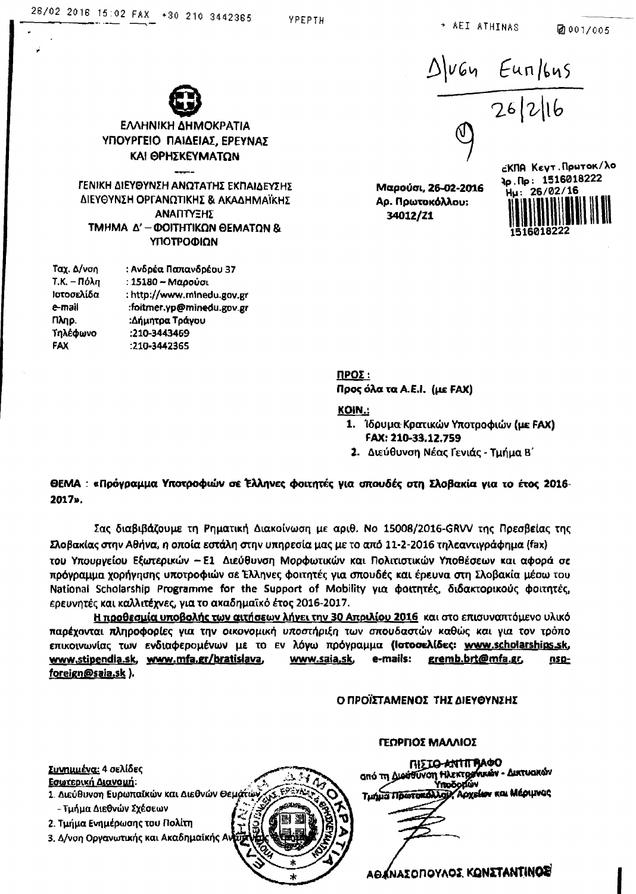Ø001/005



Ταχ. Δ/νση  $T.K. - Πόλη$ : 15180 - Μαρούσι Ιστοσελίδα : http://www.minedu.gov.gr e-mail :foitmer.yp@minedu.gov.gr **П**лр. :Δήμητρα Τράγου Τηλέφωνο :210-3443469 **FAX** :210-3442365

Μαρούσι, 26-02-2016 Αρ. Πρωτοκόλλου:



**NPOZ:** 

Προς όλα τα Α.Ε.Ι. (με FAX)

#### **KOIN.:**

- 1. Ίδρυμα Κρατικών Υποτροφιών (με FAX) FAX: 210-33.12.759
- 2. Διεύθυνση Νέας Γενιάς Τμήμα Β'

#### ΘΕΜΑ: «Πρόγραμμα Υποτροφιών σε Έλληνες φοιτητές για σπουδές στη Σλοβακία για το έτος 2016-2017».

Σας διαβιβάζουμε τη Ρηματική Διακοίνωση με αριθ. Νο 15008/2016-GRVV της Πρεσβείας της Σλοβακίας στην Αθήνα, η οποία εστάλη στην υπηρεσία μας με το από 11-2-2016 τηλεαντιγράφημα (fax) του Υπουργείου Εξωτερικών - Ε1 Διεύθυνση Μορφωτικών και Πολιτιστικών Υποθέσεων και αφορά σε πρόγραμμα χορήγησης υποτροφιών σε Έλληνες φοιτητές για σπουδές και έρευνα στη Σλοβακία μέσω του National Scholarship Programme for the Support of Mobility για φοιτητές, διδακτορικούς φοιτητές, ερευνητές και καλλιτέχνες, για το ακαδημαϊκό έτος 2016-2017.

Η προθεσμία υποβολής των αιτήσεων λήγει την 30 Απριλίου 2016 και στο επισυναπτόμενο υλικό παρέχονται πληροφορίες για την οικονομική υποστήριξη των σπουδαστών καθώς και για τον τρόπο επικοινωνίας των ενδιαφερομένων με το εν λόγω πρόγραμμα (Ιστοσελίδες: www.scholarships.sk, www.stipendla.sk, www.mfa.gr/bratislava, www.saia.sk, e-mails: gremb.brt@mfa.gr,  $nsp$ foreign@saia.sk).

#### Ο ΠΡΟΪΣΤΑΜΕΝΟΣ ΤΗΣ ΔΙΕΥΘΥΝΣΗΣ

ΓΕΩΡΓΙΟΣ ΜΑΛΛΙΟΣ

ΠΙΣΤΟ-ΑΝΤΙΓΡΑΦΟ <u> Συνημμένα:</u> 4 σελίδες από τη Διούθυνση Ηλεκτρονικών - Δικτυακών Εσωτερική Διανομή: htačozlóv Τμήμα Πρωτοκόλλου, Αρχείων και Μέριμνας 1. Διεύθυνση Ευρωπαϊκών και Διεθνών Θεματών, - Τμήμα Διεθνών Σχέσεων 2. Τμήμα Ενημέρωσης του Πολίτη 3. Δ/νση Οργανωτικής και Ακαδημαϊκής Αντι AO (NAZONOYAOZ KONZTANTIN**OZ**)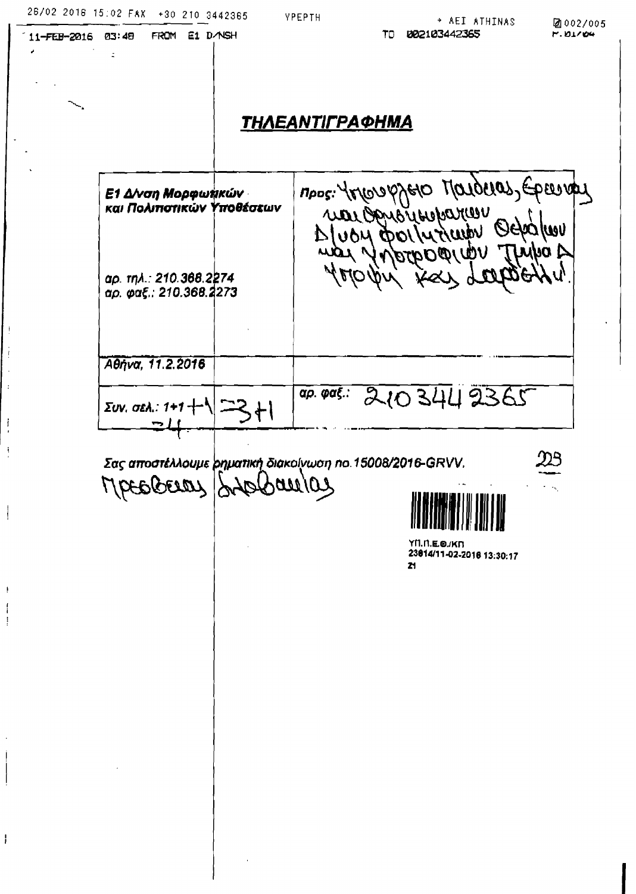FROM E1 DANSH

03:48

 $\ddot{\phantom{0}}$ 

11-FEB-2016

ł

## **ΤΗΛΕΑΝΤΊΓΡΑΦΗΜΑ**

YPEPTH

MPOS: YAROROPYERO MOLOGROS, EPERIDAL Ε1 Δ/νση Μορφωτικών και Πολιπστικών Υποθέσεων **War OpyBridge Draw WULCYSY** DIVON DOIN war n no c *Adval* αρ. τηλ.: 210.368.2274 αρ. φαξ.: 210.368.2273 Aθήνα, 11.2.2016 2103442365 *αρ. φαξ.:*  $\Sigma$ UV, OEA.: 1+1- $\uparrow$ 

Σας αποστέλλουμε *ρηματική διακοίγωση no.15008/2016-GRVV*.

Mocolocias Panior 840



**ҮП.П.Е.Ө./КП** 23014/11-02-2016 13:30:17  $21$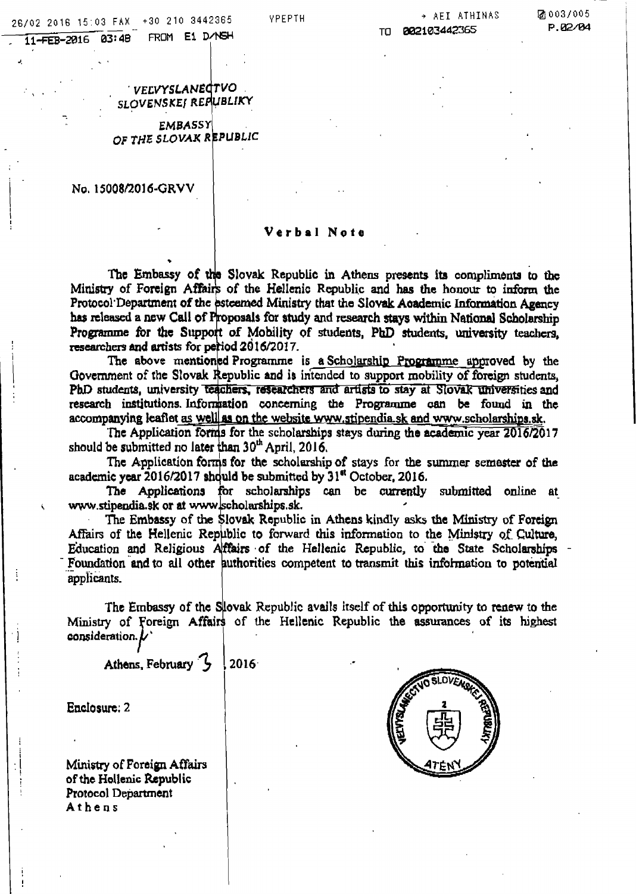FROM E1 D/NSH 11-FEB-2016 03:48

**VPEPTH** 

#### → AEI ATHINAS 882103442365 TΠ

⊠ 003/005 P.02/04

VELVYSLANECTVO SLOVENSKEJ REPUBLIKY

**EMBASSY** OF THE SLOVAK REPUBLIC

No. 15008/2016-GRVV

#### Verbal Note

The Embassy of the Slovak Republic in Athens presents its compliments to the Ministry of Foreign Affairs of the Hellenic Republic and has the honour to inform the Protocol Department of the esteemed Ministry that the Slovak Academic Information Agency has released a new Call of Proposals for study and research stays within National Scholarship Programme for the Support of Mobility of students. PhD students, university teachers, researchers and artists for period 2016/2017.

The above mentioned Programme is a Scholarship Programme approved by the Government of the Slovak Republic and is intended to support mobility of foreign students. PhD students, university teachers, researchers and artists to stay at Slovak universities and research institutions Information concerning the Programme can be found in the accompanying leaflet as well as on the website www.stipendia.sk and www.scholarships.sk.

The Application forms for the scholarships stays during the academic year 2016/2017 should be submitted no later than 30<sup>th</sup> April, 2016.

The Application forms for the scholarship of stays for the summer semester of the academic year 2016/2017 should be submitted by 31<sup>et</sup> October, 2016.

The Applications for scholarships can be currently submitted online at www.stipendia.sk or at www.scholarships.sk.

The Embassy of the Slovak Republic in Athens kindly asks the Ministry of Foreign Affairs of the Hellenic Republic to forward this information to the Ministry of Culture, Education and Religious Affairs of the Hellenic Republic, to the State Scholarships Foundation and to all other authorities competent to transmit this information to potential applicants.

The Embassy of the Slovak Republic avails itself of this opportunity to renew to the Ministry of Foreign Affairs of the Hellenic Republic the assurances of its highest consideration.  $\boldsymbol{\nu}$ 

Athens, February 3  $2016$ 

Enclosure: 2

Ministry of Foreign Affairs of the Hollenic Republic Protocol Department Athens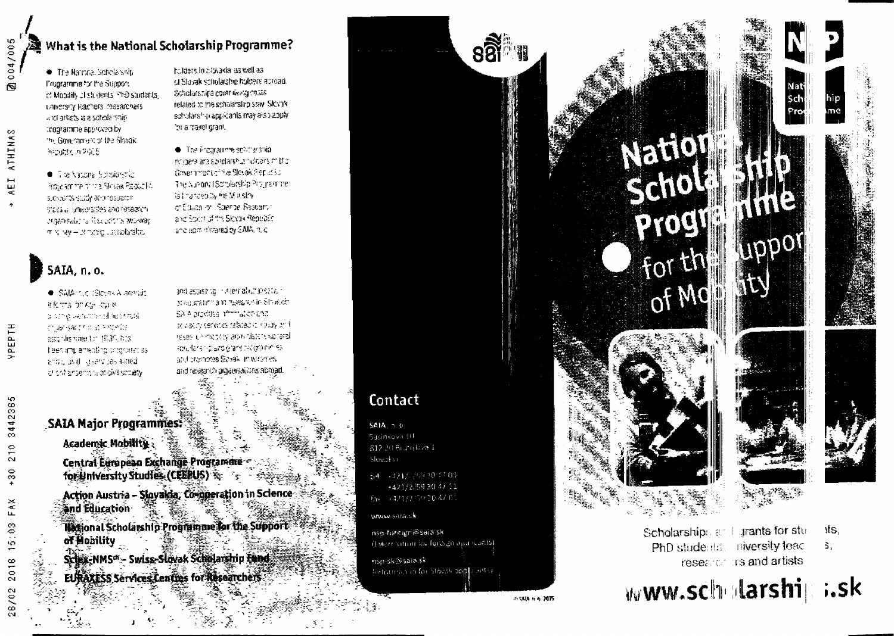

#### 溪 What is the National Scholarship Programme?

The Narrata Scholarship I'mararnme for the Support of Monathy of students, PhD students unversity leachers researchers. and articts is a scholarship trogramme approved by the Government of the Slovaki Republic in 2005

C Trainspare Solidienship Proje amine of the Stock Report N such across statished research STOCE all principations and research. Indiansulation Recontent women mining - strate listability

holders to Stovakia as well as: of Slovak scholarship holders acroad. Scholarshire cover Avvig (1958) related to the scholarship stay. Slovely schularship applicants may also apply this travel grant.

The Programme softparation incidere are sagdarshur robers mitto-Geven mentioning Stetlak Papua to The Number (Scholarship Programme) is invited by the Minstry of Educa or Rolente Research and Sport of the Slovek Republic and applicit terred by SAIA, rule

## SAIA, n.o.

· SAIA die (Stevak Alarmie atema pries licale la strip venime celling strate cruansation at simple estraismmenton (GDF), hos Traentimulamenting productions. and pool lesser pessional of craightents a plate scoely

and aspising in the habitations with Magazater and research Strated SA 6 produce affirmation and se racio services saladat circuay and research most tyladar pistonischeral southers in and grand programming and promotes Sioves in waterles. and research argainsations abroad.

## SAIA Major Programmes?

Academic Mobility:

Central European Exchange Programme for university studies (CEERLIS)

Action Austria - Slovakia, Comperation in Science **Sind Education** 

**Biggional Scholarship Programme for the Support** of Mobility

Scheiz-NMS<sup>a</sup> - Swiss-Slovak Schelarship Fund EURAXESS Services Leating for Researchers

## Contact

**SAIA**, 1-0. Sasinkova 10 812-20 Bratislava 1 Slovakia:

m4 -421/2793047.00 +421/2/59 30 47 11 fax: +421/2/59 30 47 01

www.saja.sk

nso-foreign@saia.sk (Hytomnation for foreign app icusts) nsp-sk@saia.sk (letorman in for Slovak applicants)



# YELLI Sail PROC For th  $o<sub>f</sub>$  Mc







Scholarships at 1 grants for stu **niversity tead** PhD students. research its and artists

۱ts, \$.





28/02

 $\overline{1}$ 

**УРЕРТН**